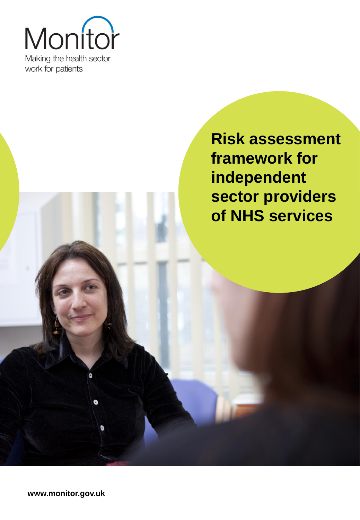

**Risk assessment framework for independent sector providers of NHS services**

**www.monitor.gov.uk**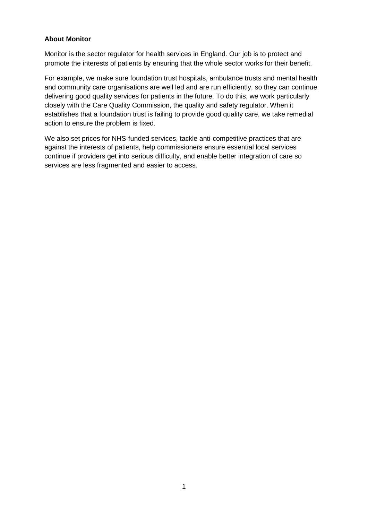#### **About Monitor**

Monitor is the sector regulator for health services in England. Our job is to protect and promote the interests of patients by ensuring that the whole sector works for their benefit.

For example, we make sure foundation trust hospitals, ambulance trusts and mental health and community care organisations are well led and are run efficiently, so they can continue delivering good quality services for patients in the future. To do this, we work particularly closely with the Care Quality Commission, the quality and safety regulator. When it establishes that a foundation trust is failing to provide good quality care, we take remedial action to ensure the problem is fixed.

We also set prices for NHS-funded services, tackle anti-competitive practices that are against the interests of patients, help commissioners ensure essential local services continue if providers get into serious difficulty, and enable better integration of care so services are less fragmented and easier to access.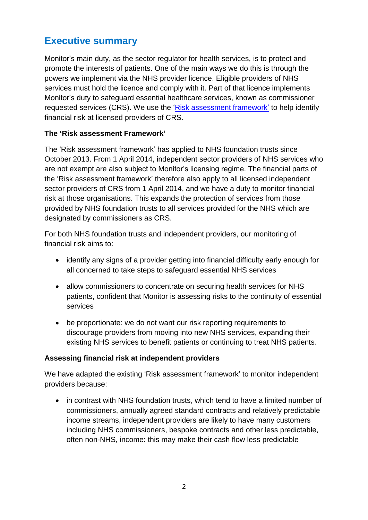# <span id="page-2-0"></span>**Executive summary**

Monitor's main duty, as the sector regulator for health services, is to protect and promote the interests of patients. One of the main ways we do this is through the powers we implement via the NHS provider licence. Eligible providers of NHS services must hold the licence and comply with it. Part of that licence implements Monitor's duty to safeguard essential healthcare services, known as commissioner requested services (CRS). We use the ['Risk assessment framework'](http://www.monitor-nhsft.gov.uk/home/news-events-publications/our-publications/browse-category/guidance-health-care-providers-and-commissioners/licensing-provi-) to help identify financial risk at licensed providers of CRS.

#### <span id="page-2-1"></span>**The 'Risk assessment Framework'**

The 'Risk assessment framework' has applied to NHS foundation trusts since October 2013. From 1 April 2014, independent sector providers of NHS services who are not exempt are also subject to Monitor's licensing regime. The financial parts of the 'Risk assessment framework' therefore also apply to all licensed independent sector providers of CRS from 1 April 2014, and we have a duty to monitor financial risk at those organisations. This expands the protection of services from those provided by NHS foundation trusts to all services provided for the NHS which are designated by commissioners as CRS.

For both NHS foundation trusts and independent providers, our monitoring of financial risk aims to:

- identify any signs of a provider getting into financial difficulty early enough for all concerned to take steps to safeguard essential NHS services
- allow commissioners to concentrate on securing health services for NHS patients, confident that Monitor is assessing risks to the continuity of essential services
- be proportionate: we do not want our risk reporting requirements to discourage providers from moving into new NHS services, expanding their existing NHS services to benefit patients or continuing to treat NHS patients.

#### **Assessing financial risk at independent providers**

We have adapted the existing 'Risk assessment framework' to monitor independent providers because:

• in contrast with NHS foundation trusts, which tend to have a limited number of commissioners, annually agreed standard contracts and relatively predictable income streams, independent providers are likely to have many customers including NHS commissioners, bespoke contracts and other less predictable, often non-NHS, income: this may make their cash flow less predictable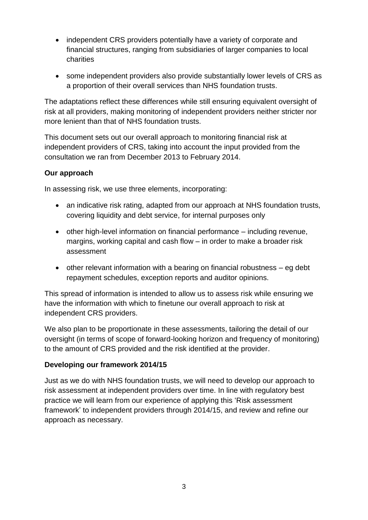- independent CRS providers potentially have a variety of corporate and financial structures, ranging from subsidiaries of larger companies to local charities
- some independent providers also provide substantially lower levels of CRS as a proportion of their overall services than NHS foundation trusts.

The adaptations reflect these differences while still ensuring equivalent oversight of risk at all providers, making monitoring of independent providers neither stricter nor more lenient than that of NHS foundation trusts.

This document sets out our overall approach to monitoring financial risk at independent providers of CRS, taking into account the input provided from the consultation we ran from December 2013 to February 2014.

#### <span id="page-3-0"></span>**Our approach**

In assessing risk, we use three elements, incorporating:

- an indicative risk rating, adapted from our approach at NHS foundation trusts, covering liquidity and debt service, for internal purposes only
- other high-level information on financial performance including revenue, margins, working capital and cash flow – in order to make a broader risk assessment
- other relevant information with a bearing on financial robustness eg debt repayment schedules, exception reports and auditor opinions.

This spread of information is intended to allow us to assess risk while ensuring we have the information with which to finetune our overall approach to risk at independent CRS providers.

We also plan to be proportionate in these assessments, tailoring the detail of our oversight (in terms of scope of forward-looking horizon and frequency of monitoring) to the amount of CRS provided and the risk identified at the provider.

#### <span id="page-3-1"></span>**Developing our framework 2014/15**

Just as we do with NHS foundation trusts, we will need to develop our approach to risk assessment at independent providers over time. In line with regulatory best practice we will learn from our experience of applying this 'Risk assessment framework' to independent providers through 2014/15, and review and refine our approach as necessary.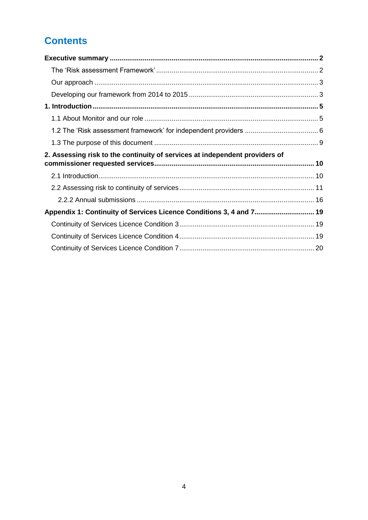# **Contents**

| 2. Assessing risk to the continuity of services at independent providers of |  |
|-----------------------------------------------------------------------------|--|
|                                                                             |  |
|                                                                             |  |
|                                                                             |  |
|                                                                             |  |
| Appendix 1: Continuity of Services Licence Conditions 3, 4 and 7 19         |  |
|                                                                             |  |
|                                                                             |  |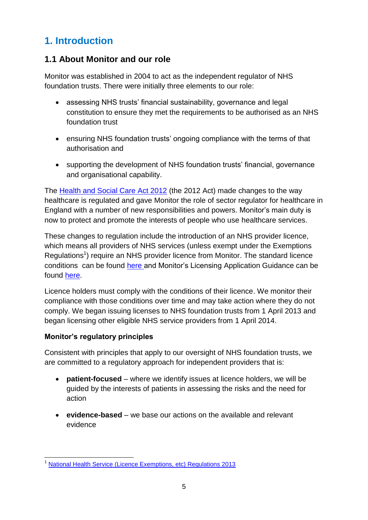# <span id="page-5-0"></span>**1. Introduction**

## <span id="page-5-1"></span>**1.1 About Monitor and our role**

Monitor was established in 2004 to act as the independent regulator of NHS foundation trusts. There were initially three elements to our role:

- assessing NHS trusts' financial sustainability, governance and legal constitution to ensure they met the requirements to be authorised as an NHS foundation trust
- ensuring NHS foundation trusts' ongoing compliance with the terms of that authorisation and
- supporting the development of NHS foundation trusts' financial, governance and organisational capability.

The [Health and Social Care Act 2012](http://www.legislation.gov.uk/ukpga/2012/7/contents/enacted/data.htm) (the 2012 Act) made changes to the way healthcare is regulated and gave Monitor the role of sector regulator for healthcare in England with a number of new responsibilities and powers. Monitor's main duty is now to protect and promote the interests of people who use healthcare services.

These changes to regulation include the introduction of an NHS provider licence, which means all providers of NHS services (unless exempt under the Exemptions Regulations<sup>1</sup>) require an NHS provider licence from Monitor. The standard licence conditions can be found [here](http://www.monitor.gov.uk/regulating-health-care-providers-commissioners/licensing-providers) and Monitor's Licensing Application Guidance can be found [here.](http://www.monitor.gov.uk/licence)

Licence holders must comply with the conditions of their licence. We monitor their compliance with those conditions over time and may take action where they do not comply. We began issuing licenses to NHS foundation trusts from 1 April 2013 and began licensing other eligible NHS service providers from 1 April 2014.

#### **Monitor's regulatory principles**

Consistent with principles that apply to our oversight of NHS foundation trusts, we are committed to a regulatory approach for independent providers that is:

- **patient-focused** where we identify issues at licence holders, we will be guided by the interests of patients in assessing the risks and the need for action
- **evidence-based**  we base our actions on the available and relevant evidence

<sup>-</sup><sup>1</sup> [National Health Service \(Licence Exemptions, etc\) Regulations 2013](http://www.legislation.gov.uk/ukdsi/2013/9780111100813/contents)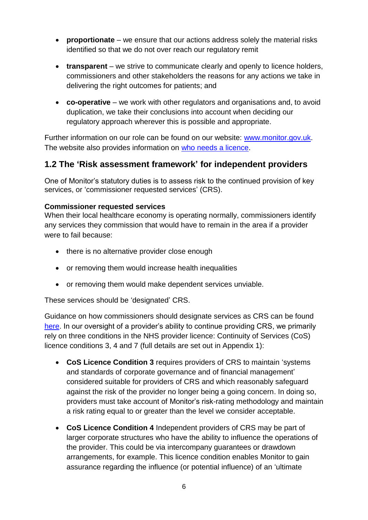- **proportionate** we ensure that our actions address solely the material risks identified so that we do not over reach our regulatory remit
- **transparent** we strive to communicate clearly and openly to licence holders, commissioners and other stakeholders the reasons for any actions we take in delivering the right outcomes for patients; and
- **co-operative**  we work with other regulators and organisations and, to avoid duplication, we take their conclusions into account when deciding our regulatory approach wherever this is possible and appropriate.

Further information on our role can be found on our website: [www.monitor.gov.uk.](http://www.monitor.gov.uk/) The website also provides information on [who needs a licence.](http://www.monitor.gov.uk/regulating-health-care-providers-commissioners/licensing-providers/who-needs-a-licence)

## <span id="page-6-0"></span>**1.2 The 'Risk assessment framework' for independent providers**

One of Monitor's statutory duties is to assess risk to the continued provision of key services, or 'commissioner requested services' (CRS).

#### **Commissioner requested services**

When their local healthcare economy is operating normally, commissioners identify any services they commission that would have to remain in the area if a provider were to fail because:

- there is no alternative provider close enough
- or removing them would increase health inequalities
- or removing them would make dependent services unviable.

These services should be 'designated' CRS.

Guidance on how commissioners should designate services as CRS can be found [here.](http://www.monitor.gov.uk/regulating-health-care-providers-commissioners/supporting-the-continuity-services) In our oversight of a provider's ability to continue providing CRS, we primarily rely on three conditions in the NHS provider licence: Continuity of Services (CoS) licence conditions 3, 4 and 7 (full details are set out in Appendix 1):

- **CoS Licence Condition 3** requires providers of CRS to maintain 'systems and standards of corporate governance and of financial management' considered suitable for providers of CRS and which reasonably safeguard against the risk of the provider no longer being a going concern. In doing so, providers must take account of Monitor's risk-rating methodology and maintain a risk rating equal to or greater than the level we consider acceptable.
- **CoS Licence Condition 4** Independent providers of CRS may be part of larger corporate structures who have the ability to influence the operations of the provider. This could be via intercompany guarantees or drawdown arrangements, for example. This licence condition enables Monitor to gain assurance regarding the influence (or potential influence) of an 'ultimate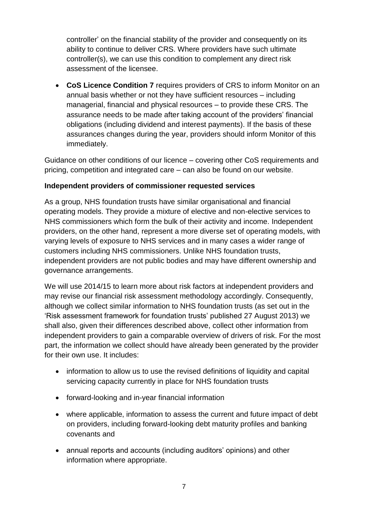controller' on the financial stability of the provider and consequently on its ability to continue to deliver CRS. Where providers have such ultimate controller(s), we can use this condition to complement any direct risk assessment of the licensee.

 **CoS Licence Condition 7** requires providers of CRS to inform Monitor on an annual basis whether or not they have sufficient resources – including managerial, financial and physical resources – to provide these CRS. The assurance needs to be made after taking account of the providers' financial obligations (including dividend and interest payments). If the basis of these assurances changes during the year, providers should inform Monitor of this immediately.

Guidance on other conditions of our licence – covering other CoS requirements and pricing, competition and integrated care – can also be found on our website.

#### **Independent providers of commissioner requested services**

As a group, NHS foundation trusts have similar organisational and financial operating models. They provide a mixture of elective and non-elective services to NHS commissioners which form the bulk of their activity and income. Independent providers, on the other hand, represent a more diverse set of operating models, with varying levels of exposure to NHS services and in many cases a wider range of customers including NHS commissioners. Unlike NHS foundation trusts, independent providers are not public bodies and may have different ownership and governance arrangements.

We will use 2014/15 to learn more about risk factors at independent providers and may revise our financial risk assessment methodology accordingly. Consequently, although we collect similar information to NHS foundation trusts (as set out in the 'Risk assessment framework for foundation trusts' published 27 August 2013) we shall also, given their differences described above, collect other information from independent providers to gain a comparable overview of drivers of risk. For the most part, the information we collect should have already been generated by the provider for their own use. It includes:

- information to allow us to use the revised definitions of liquidity and capital servicing capacity currently in place for NHS foundation trusts
- forward-looking and in-year financial information
- where applicable, information to assess the current and future impact of debt on providers, including forward-looking debt maturity profiles and banking covenants and
- annual reports and accounts (including auditors' opinions) and other information where appropriate.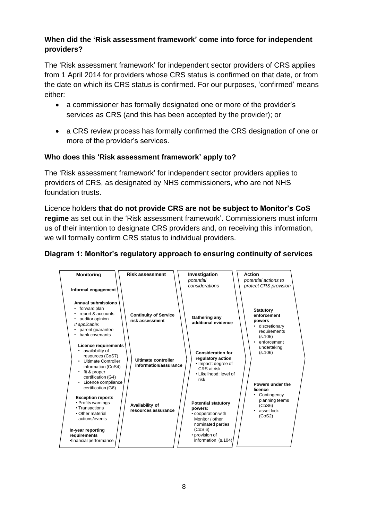#### **When did the 'Risk assessment framework' come into force for independent providers?**

The 'Risk assessment framework' for independent sector providers of CRS applies from 1 April 2014 for providers whose CRS status is confirmed on that date, or from the date on which its CRS status is confirmed. For our purposes, 'confirmed' means either:

- a commissioner has formally designated one or more of the provider's services as CRS (and this has been accepted by the provider); or
- a CRS review process has formally confirmed the CRS designation of one or more of the provider's services.

#### **Who does this 'Risk assessment framework' apply to?**

The 'Risk assessment framework' for independent sector providers applies to providers of CRS, as designated by NHS commissioners, who are not NHS foundation trusts.

Licence holders **that do not provide CRS are not be subject to Monitor's CoS regime** as set out in the 'Risk assessment framework'. Commissioners must inform us of their intention to designate CRS providers and, on receiving this information, we will formally confirm CRS status to individual providers.

#### **Diagram 1: Monitor's regulatory approach to ensuring continuity of services**

<span id="page-8-0"></span>

| <b>Monitoring</b>                                                                                                                                                                                                    | <b>Risk assessment</b>                          | Investigation<br>potential<br>considerations                                                                                                            | Action<br>potential actions to<br>protect CRS provision                                                  |
|----------------------------------------------------------------------------------------------------------------------------------------------------------------------------------------------------------------------|-------------------------------------------------|---------------------------------------------------------------------------------------------------------------------------------------------------------|----------------------------------------------------------------------------------------------------------|
| Informal engagement<br><b>Annual submissions</b><br>forward plan<br>report & accounts<br>auditor opinion<br>If applicable:<br>parent guarantee<br>bank covenants                                                     | <b>Continuity of Service</b><br>risk assessment | Gathering any<br>additional evidence                                                                                                                    | <b>Statutory</b><br>enforcement<br>powers<br>· discretionary<br>requirements<br>(s.105)<br>• enforcement |
| <b>Licence requirements</b><br>• availability of<br>resources (CoS7)<br>• Ultimate Controller<br>information (CoS4)<br>• fit & proper<br>certification (G4)<br>Licence compliance<br>$\bullet$<br>certification (G6) | Ultimate controller<br>information/assurance    | <b>Consideration for</b><br>regulatory action<br>• Impact: degree of<br>CRS at risk<br>• Likelihood: level of<br>risk                                   | undertaking<br>(s.106)<br>Powers under the<br>licence                                                    |
| <b>Exception reports</b><br>• Profits warnings<br>• Transactions<br>• Other material<br>actions/events<br>In-year reporting<br>requirements<br>•financial performance                                                | Availability of<br>resources assurance          | <b>Potential statutory</b><br>powers:<br>• cooperation with<br>Monitor / other<br>nominated parties<br>(CoS 6)<br>• provision of<br>information (s.104) | Contingency<br>planning teams<br>(CoS6)<br>• asset lock<br>(CoS2)                                        |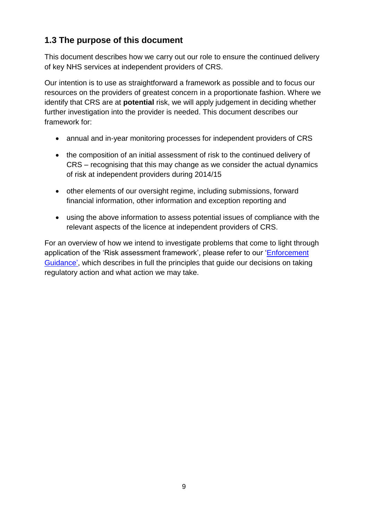# **1.3 The purpose of this document**

This document describes how we carry out our role to ensure the continued delivery of key NHS services at independent providers of CRS.

Our intention is to use as straightforward a framework as possible and to focus our resources on the providers of greatest concern in a proportionate fashion. Where we identify that CRS are at **potential** risk, we will apply judgement in deciding whether further investigation into the provider is needed. This document describes our framework for:

- annual and in-year monitoring processes for independent providers of CRS
- the composition of an initial assessment of risk to the continued delivery of CRS – recognising that this may change as we consider the actual dynamics of risk at independent providers during 2014/15
- other elements of our oversight regime, including submissions, forward financial information, other information and exception reporting and
- using the above information to assess potential issues of compliance with the relevant aspects of the licence at independent providers of CRS.

For an overview of how we intend to investigate problems that come to light through application of the 'Risk assessment framework', please refer to our 'Enforcement [Guidance'](http://www.monitor-nhsft.gov.uk/home/news-events-and-publications/consultations/consultations-and-engagement-monitors-role-sector-re), which describes in full the principles that guide our decisions on taking regulatory action and what action we may take.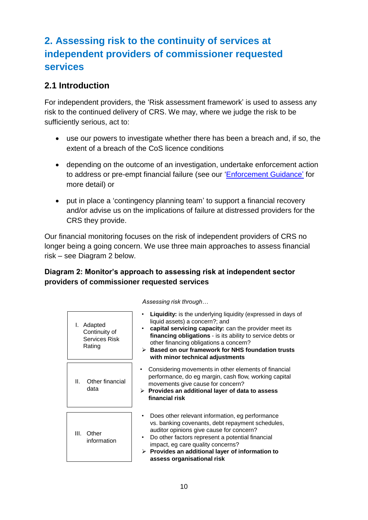# <span id="page-10-0"></span>**2. Assessing risk to the continuity of services at independent providers of commissioner requested services**

## <span id="page-10-1"></span>**2.1 Introduction**

For independent providers, the 'Risk assessment framework' is used to assess any risk to the continued delivery of CRS. We may, where we judge the risk to be sufficiently serious, act to:

- use our powers to investigate whether there has been a breach and, if so, the extent of a breach of the CoS licence conditions
- depending on the outcome of an investigation, undertake enforcement action to address or pre-empt financial failure (see our ['Enforcement Guidance'](http://www.monitor-nhsft.gov.uk/home/news-events-and-publications/consultations/consultations-and-engagement-monitors-role-sector-re) for more detail) or
- put in place a 'contingency planning team' to support a financial recovery and/or advise us on the implications of failure at distressed providers for the CRS they provide.

Our financial monitoring focuses on the risk of independent providers of CRS no longer being a going concern. We use three main approaches to assess financial risk – see Diagram 2 below.

#### **Diagram 2: Monitor's approach to assessing risk at independent sector providers of commissioner requested services**

| Adapted<br>Continuity of<br>Services Risk<br>Rating | Liquidity: is the underlying liquidity (expressed in days of<br>liquid assets) a concern?; and<br>capital servicing capacity: can the provider meet its<br>financing obligations - is its ability to service debts or<br>other financing obligations a concern?<br>$\triangleright$ Based on our framework for NHS foundation trusts<br>with minor technical adjustments |
|-----------------------------------------------------|--------------------------------------------------------------------------------------------------------------------------------------------------------------------------------------------------------------------------------------------------------------------------------------------------------------------------------------------------------------------------|
| Other financial<br>Ш.<br>data                       | Considering movements in other elements of financial<br>$\bullet$<br>performance, do eg margin, cash flow, working capital<br>movements give cause for concern?<br>$\triangleright$ Provides an additional layer of data to assess<br>financial risk                                                                                                                     |
| III. Other<br>information                           | Does other relevant information, eg performance<br>vs. banking covenants, debt repayment schedules,<br>auditor opinions give cause for concern?<br>Do other factors represent a potential financial<br>impact, eg care quality concerns?<br>Provides an additional layer of information to<br>➤<br>assess organisational risk                                            |

*Assessing risk through…*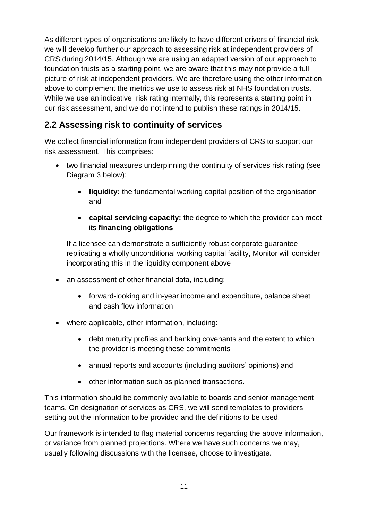As different types of organisations are likely to have different drivers of financial risk, we will develop further our approach to assessing risk at independent providers of CRS during 2014/15. Although we are using an adapted version of our approach to foundation trusts as a starting point, we are aware that this may not provide a full picture of risk at independent providers. We are therefore using the other information above to complement the metrics we use to assess risk at NHS foundation trusts. While we use an indicative risk rating internally, this represents a starting point in our risk assessment, and we do not intend to publish these ratings in 2014/15.

# <span id="page-11-0"></span>**2.2 Assessing risk to continuity of services**

We collect financial information from independent providers of CRS to support our risk assessment. This comprises:

- two financial measures underpinning the continuity of services risk rating (see Diagram 3 below):
	- **liquidity:** the fundamental working capital position of the organisation and
	- **capital servicing capacity:** the degree to which the provider can meet its **financing obligations**

If a licensee can demonstrate a sufficiently robust corporate guarantee replicating a wholly unconditional working capital facility, Monitor will consider incorporating this in the liquidity component above

- an assessment of other financial data, including:
	- forward-looking and in-year income and expenditure, balance sheet and cash flow information
- where applicable, other information, including:
	- debt maturity profiles and banking covenants and the extent to which the provider is meeting these commitments
	- annual reports and accounts (including auditors' opinions) and
	- other information such as planned transactions.

This information should be commonly available to boards and senior management teams. On designation of services as CRS, we will send templates to providers setting out the information to be provided and the definitions to be used.

Our framework is intended to flag material concerns regarding the above information, or variance from planned projections. Where we have such concerns we may, usually following discussions with the licensee, choose to investigate.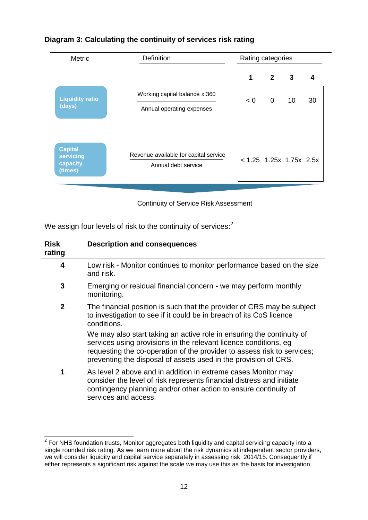| Metric                                             | <b>Definition</b>                                            | Rating categories         |                |                         |    |
|----------------------------------------------------|--------------------------------------------------------------|---------------------------|----------------|-------------------------|----|
|                                                    |                                                              | 1                         | $\overline{2}$ | $\overline{\mathbf{3}}$ | 4  |
| <b>Liquidity ratio</b><br>(days)                   | Working capital balance x 360<br>Annual operating expenses   | < 0                       | $\overline{0}$ | 10                      | 30 |
| <b>Capital</b><br>servicing<br>capacity<br>(times) | Revenue available for capital service<br>Annual debt service | $< 1.25$ 1.25x 1.75x 2.5x |                |                         |    |

#### **Diagram 3: Calculating the continuity of services risk rating**

Continuity of Service Risk Assessment

We assign four levels of risk to the continuity of services: $^2$ 

| <b>Risk</b><br>rating | <b>Description and consequences</b>                                                                                                                                                                                                                                                     |
|-----------------------|-----------------------------------------------------------------------------------------------------------------------------------------------------------------------------------------------------------------------------------------------------------------------------------------|
| 4                     | Low risk - Monitor continues to monitor performance based on the size<br>and risk.                                                                                                                                                                                                      |
| 3                     | Emerging or residual financial concern - we may perform monthly<br>monitoring.                                                                                                                                                                                                          |
| $\overline{2}$        | The financial position is such that the provider of CRS may be subject<br>to investigation to see if it could be in breach of its CoS licence<br>conditions.                                                                                                                            |
|                       | We may also start taking an active role in ensuring the continuity of<br>services using provisions in the relevant licence conditions, eg<br>requesting the co-operation of the provider to assess risk to services;<br>preventing the disposal of assets used in the provision of CRS. |
| 1                     | As level 2 above and in addition in extreme cases Monitor may<br>consider the level of risk represents financial distress and initiate<br>contingency planning and/or other action to ensure continuity of<br>services and access.                                                      |

 2 For NHS foundation trusts, Monitor aggregates both liquidity and capital servicing capacity into a single rounded risk rating. As we learn more about the risk dynamics at independent sector providers, we will consider liquidity and capital service separately in assessing risk 2014/15. Consequently if either represents a significant risk against the scale we may use this as the basis for investigation.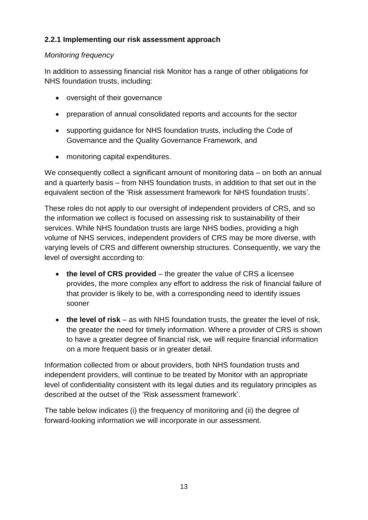#### **2.2.1 Implementing our risk assessment approach**

#### *Monitoring frequency*

In addition to assessing financial risk Monitor has a range of other obligations for NHS foundation trusts, including:

- oversight of their governance
- preparation of annual consolidated reports and accounts for the sector
- supporting guidance for NHS foundation trusts, including the Code of Governance and the Quality Governance Framework, and
- monitoring capital expenditures.

We consequently collect a significant amount of monitoring data – on both an annual and a quarterly basis – from NHS foundation trusts, in addition to that set out in the equivalent section of the 'Risk assessment framework for NHS foundation trusts'.

These roles do not apply to our oversight of independent providers of CRS, and so the information we collect is focused on assessing risk to sustainability of their services. While NHS foundation trusts are large NHS bodies, providing a high volume of NHS services, independent providers of CRS may be more diverse, with varying levels of CRS and different ownership structures. Consequently, we vary the level of oversight according to:

- **the level of CRS provided** the greater the value of CRS a licensee provides, the more complex any effort to address the risk of financial failure of that provider is likely to be, with a corresponding need to identify issues sooner
- the level of risk as with NHS foundation trusts, the greater the level of risk, the greater the need for timely information. Where a provider of CRS is shown to have a greater degree of financial risk, we will require financial information on a more frequent basis or in greater detail.

Information collected from or about providers, both NHS foundation trusts and independent providers, will continue to be treated by Monitor with an appropriate level of confidentiality consistent with its legal duties and its regulatory principles as described at the outset of the 'Risk assessment framework'.

The table below indicates (i) the frequency of monitoring and (ii) the degree of forward-looking information we will incorporate in our assessment.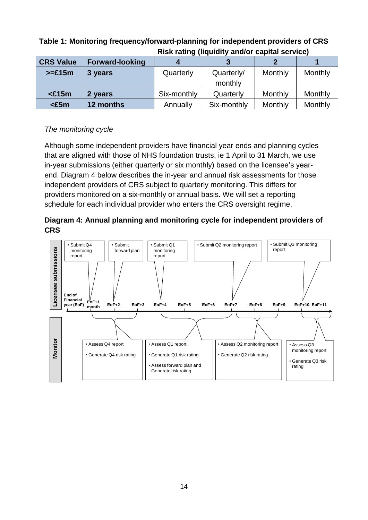|                  | <u>KISK Tating (Inguidity and/or capital Service)</u> |             |                       |         |         |
|------------------|-------------------------------------------------------|-------------|-----------------------|---------|---------|
| <b>CRS Value</b> | <b>Forward-looking</b>                                |             |                       |         |         |
| $>= £15m$        | 3 years                                               | Quarterly   | Quarterly/<br>monthly | Monthly | Monthly |
| $£15m$           | 2 years                                               | Six-monthly | Quarterly             | Monthly | Monthly |
| $\epsilon5m$     | 12 months                                             | Annually    | Six-monthly           | Monthly | Monthly |

#### **Table 1: Monitoring frequency/forward-planning for independent providers of CRS Risk rating (liquidity and/or capital service)**

## *The monitoring cycle*

Although some independent providers have financial year ends and planning cycles that are aligned with those of NHS foundation trusts, ie 1 April to 31 March, we use in-year submissions (either quarterly or six monthly) based on the licensee's yearend. Diagram 4 below describes the in-year and annual risk assessments for those independent providers of CRS subject to quarterly monitoring. This differs for providers monitored on a six-monthly or annual basis. We will set a reporting schedule for each individual provider who enters the CRS oversight regime.



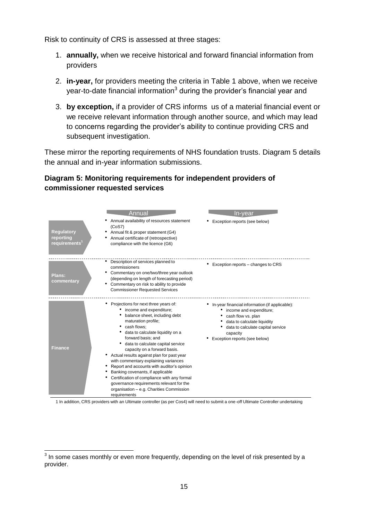Risk to continuity of CRS is assessed at three stages:

- 1. **annually,** when we receive historical and forward financial information from providers
- 2. **in-year,** for providers meeting the criteria in Table 1 above, when we receive year-to-date financial information<sup>3</sup> during the provider's financial year and
- 3. **by exception,** if a provider of CRS informs us of a material financial event or we receive relevant information through another source, and which may lead to concerns regarding the provider's ability to continue providing CRS and subsequent investigation.

These mirror the reporting requirements of NHS foundation trusts. Diagram 5 details the annual and in-year information submissions.

#### **Diagram 5: Monitoring requirements for independent providers of commissioner requested services**

|                                                             | <b>Annual</b>                                                                                                                                                                                                                                                                                                                                                                                                                                                                                                                                                                                            | In-vear                                                                                                                                                                                                            |
|-------------------------------------------------------------|----------------------------------------------------------------------------------------------------------------------------------------------------------------------------------------------------------------------------------------------------------------------------------------------------------------------------------------------------------------------------------------------------------------------------------------------------------------------------------------------------------------------------------------------------------------------------------------------------------|--------------------------------------------------------------------------------------------------------------------------------------------------------------------------------------------------------------------|
| <b>Regulatory</b><br>reporting<br>requirements <sup>1</sup> | Annual availability of resources statement<br>(CoS7)<br>Annual fit & proper statement (G4)<br>Annual certificate of (retrospective)<br>compliance with the licence (G6)                                                                                                                                                                                                                                                                                                                                                                                                                                  | Exception reports (see below)                                                                                                                                                                                      |
| Plans:<br>commentary                                        | Description of services planned to<br>commissioners<br>Commentary on one/two/three year outlook<br>٠<br>(depending on length of forecasting period)<br>Commentary on risk to ability to provide<br>٠<br><b>Commissioner Requested Services</b>                                                                                                                                                                                                                                                                                                                                                           | Exception reports - changes to CRS                                                                                                                                                                                 |
| <b>Finance</b>                                              | Projections for next three years of:<br>income and expenditure;<br>balance sheet, including debt<br>maturation profile;<br>cash flows:<br>data to calculate liquidity on a<br>forward basis; and<br>data to calculate capital service<br>capacity on a forward basis.<br>Actual results against plan for past year<br>with commentary explaining variances<br>Report and accounts with auditor's opinion<br>٠<br>Banking covenants, if applicable<br>Certification of compliance with any formal<br>governance requirements relevant for the<br>organisation - e.g. Charities Commission<br>requirements | • In-year financial information (if applicable):<br>income and expenditure;<br>cash flow vs. plan<br>data to calculate liquidity<br>data to calculate capital service<br>capacity<br>Exception reports (see below) |

<span id="page-15-0"></span>1 In addition, CRS providers with an Ultimate controller (as per Cos4) will need to submit a one-off Ultimate Controller undertaking

 3 In some cases monthly or even more frequently, depending on the level of risk presented by a provider.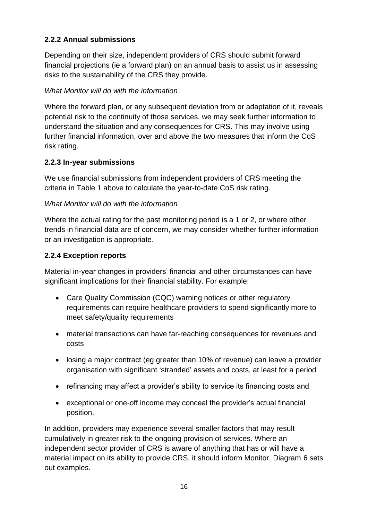#### **2.2.2 Annual submissions**

Depending on their size, independent providers of CRS should submit forward financial projections (ie a forward plan) on an annual basis to assist us in assessing risks to the sustainability of the CRS they provide.

#### *What Monitor will do with the information*

Where the forward plan, or any subsequent deviation from or adaptation of it, reveals potential risk to the continuity of those services, we may seek further information to understand the situation and any consequences for CRS. This may involve using further financial information, over and above the two measures that inform the CoS risk rating.

#### **2.2.3 In-year submissions**

We use financial submissions from independent providers of CRS meeting the criteria in Table 1 above to calculate the year-to-date CoS risk rating.

#### *What Monitor will do with the information*

Where the actual rating for the past monitoring period is a 1 or 2, or where other trends in financial data are of concern, we may consider whether further information or an investigation is appropriate.

#### **2.2.4 Exception reports**

Material in-year changes in providers' financial and other circumstances can have significant implications for their financial stability. For example:

- Care Quality Commission (CQC) warning notices or other regulatory requirements can require healthcare providers to spend significantly more to meet safety/quality requirements
- material transactions can have far-reaching consequences for revenues and costs
- losing a major contract (eg greater than 10% of revenue) can leave a provider organisation with significant 'stranded' assets and costs, at least for a period
- refinancing may affect a provider's ability to service its financing costs and
- exceptional or one-off income may conceal the provider's actual financial position.

In addition, providers may experience several smaller factors that may result cumulatively in greater risk to the ongoing provision of services. Where an independent sector provider of CRS is aware of anything that has or will have a material impact on its ability to provide CRS, it should inform Monitor. Diagram 6 sets out examples.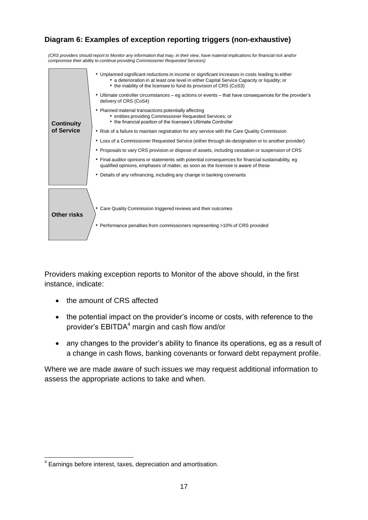#### **Diagram 6: Examples of exception reporting triggers (non-exhaustive)**

*(CRS providers should report to Monitor any information that may, in their view, have material implications for financial risk and/or compromise their ability to continue providing Commissioner Requested Services)*

|                   | • Unplanned significant reductions in income or significant increases in costs leading to either<br>• a deterioration in at least one level in either Capital Service Capacity or liquidity; or<br>• the inability of the licensee to fund its provision of CRS (CoS3) |
|-------------------|------------------------------------------------------------------------------------------------------------------------------------------------------------------------------------------------------------------------------------------------------------------------|
|                   | • Ultimate controller circumstances – eg actions or events – that have consequences for the provider's<br>delivery of CRS (CoS4)                                                                                                                                       |
| <b>Continuity</b> | • Planned material transactions potentially affecting<br>• entities providing Commissioner Requested Services; or<br>• the financial position of the licensee's Ultimate Controller                                                                                    |
| of Service        | • Risk of a failure to maintain registration for any service with the Care Quality Commission                                                                                                                                                                          |
|                   | • Loss of a Commissioner Requested Service (either through de-designation or to another provider)                                                                                                                                                                      |
|                   | • Proposals to vary CRS provision or dispose of assets, including cessation or suspension of CRS                                                                                                                                                                       |
|                   | • Final auditor opinions or statements with potential consequences for financial sustainability, eq<br>qualified opinions, emphases of matter, as soon as the licensee is aware of these                                                                               |
|                   | • Details of any refinancing, including any change in banking covenants                                                                                                                                                                                                |
|                   |                                                                                                                                                                                                                                                                        |
| Other risks       | • Care Quality Commission triggered reviews and their outcomes                                                                                                                                                                                                         |
|                   | • Performance penalties from commissioners representing >10% of CRS provided                                                                                                                                                                                           |

Providers making exception reports to Monitor of the above should, in the first instance, indicate:

- the amount of CRS affected
- the potential impact on the provider's income or costs, with reference to the provider's  $EBITDA<sup>4</sup>$  margin and cash flow and/or
- any changes to the provider's ability to finance its operations, eg as a result of a change in cash flows, banking covenants or forward debt repayment profile.

Where we are made aware of such issues we may request additional information to assess the appropriate actions to take and when.

<sup>-</sup><sup>4</sup> Earnings before interest, taxes, depreciation and amortisation.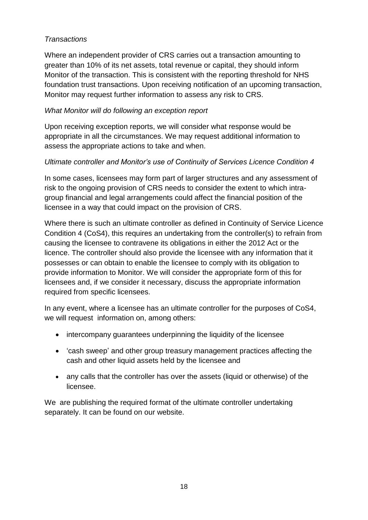#### *Transactions*

Where an independent provider of CRS carries out a transaction amounting to greater than 10% of its net assets, total revenue or capital, they should inform Monitor of the transaction. This is consistent with the reporting threshold for NHS foundation trust transactions. Upon receiving notification of an upcoming transaction, Monitor may request further information to assess any risk to CRS.

#### *What Monitor will do following an exception report*

Upon receiving exception reports, we will consider what response would be appropriate in all the circumstances. We may request additional information to assess the appropriate actions to take and when.

#### *Ultimate controller and Monitor's use of Continuity of Services Licence Condition 4*

In some cases, licensees may form part of larger structures and any assessment of risk to the ongoing provision of CRS needs to consider the extent to which intragroup financial and legal arrangements could affect the financial position of the licensee in a way that could impact on the provision of CRS.

Where there is such an ultimate controller as defined in Continuity of Service Licence Condition 4 (CoS4), this requires an undertaking from the controller(s) to refrain from causing the licensee to contravene its obligations in either the 2012 Act or the licence. The controller should also provide the licensee with any information that it possesses or can obtain to enable the licensee to comply with its obligation to provide information to Monitor. We will consider the appropriate form of this for licensees and, if we consider it necessary, discuss the appropriate information required from specific licensees.

In any event, where a licensee has an ultimate controller for the purposes of CoS4, we will request information on, among others:

- intercompany quarantees underpinning the liquidity of the licensee
- 'cash sweep' and other group treasury management practices affecting the cash and other liquid assets held by the licensee and
- any calls that the controller has over the assets (liquid or otherwise) of the licensee.

We are publishing the required format of the ultimate controller undertaking separately. It can be found on our website.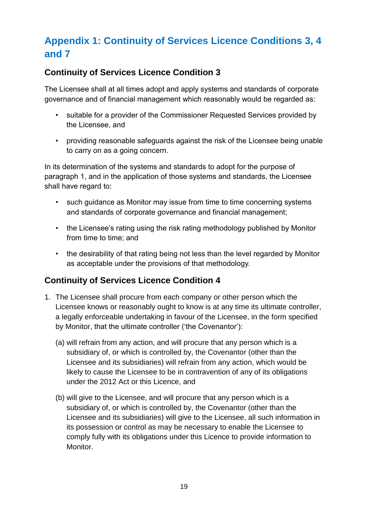# <span id="page-19-0"></span>**Appendix 1: Continuity of Services Licence Conditions 3, 4 and 7**

## <span id="page-19-1"></span>**Continuity of Services Licence Condition 3**

The Licensee shall at all times adopt and apply systems and standards of corporate governance and of financial management which reasonably would be regarded as:

- suitable for a provider of the Commissioner Requested Services provided by the Licensee, and
- providing reasonable safeguards against the risk of the Licensee being unable to carry on as a going concern.

In its determination of the systems and standards to adopt for the purpose of paragraph 1, and in the application of those systems and standards, the Licensee shall have regard to:

- such quidance as Monitor may issue from time to time concerning systems and standards of corporate governance and financial management;
- the Licensee's rating using the risk rating methodology published by Monitor from time to time; and
- the desirability of that rating being not less than the level regarded by Monitor as acceptable under the provisions of that methodology.

## <span id="page-19-2"></span>**Continuity of Services Licence Condition 4**

- 1. The Licensee shall procure from each company or other person which the Licensee knows or reasonably ought to know is at any time its ultimate controller, a legally enforceable undertaking in favour of the Licensee, in the form specified by Monitor, that the ultimate controller ('the Covenantor'):
	- (a) will refrain from any action, and will procure that any person which is a subsidiary of, or which is controlled by, the Covenantor (other than the Licensee and its subsidiaries) will refrain from any action, which would be likely to cause the Licensee to be in contravention of any of its obligations under the 2012 Act or this Licence, and
	- (b) will give to the Licensee, and will procure that any person which is a subsidiary of, or which is controlled by, the Covenantor (other than the Licensee and its subsidiaries) will give to the Licensee, all such information in its possession or control as may be necessary to enable the Licensee to comply fully with its obligations under this Licence to provide information to Monitor.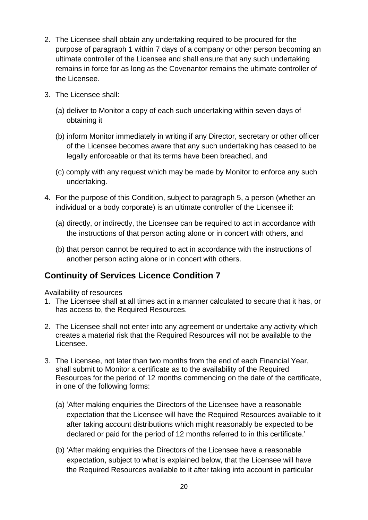- 2. The Licensee shall obtain any undertaking required to be procured for the purpose of paragraph 1 within 7 days of a company or other person becoming an ultimate controller of the Licensee and shall ensure that any such undertaking remains in force for as long as the Covenantor remains the ultimate controller of the Licensee.
- 3. The Licensee shall:
	- (a) deliver to Monitor a copy of each such undertaking within seven days of obtaining it
	- (b) inform Monitor immediately in writing if any Director, secretary or other officer of the Licensee becomes aware that any such undertaking has ceased to be legally enforceable or that its terms have been breached, and
	- (c) comply with any request which may be made by Monitor to enforce any such undertaking.
- 4. For the purpose of this Condition, subject to paragraph 5, a person (whether an individual or a body corporate) is an ultimate controller of the Licensee if:
	- (a) directly, or indirectly, the Licensee can be required to act in accordance with the instructions of that person acting alone or in concert with others, and
	- (b) that person cannot be required to act in accordance with the instructions of another person acting alone or in concert with others.

# <span id="page-20-0"></span>**Continuity of Services Licence Condition 7**

Availability of resources

- 1. The Licensee shall at all times act in a manner calculated to secure that it has, or has access to, the Required Resources.
- 2. The Licensee shall not enter into any agreement or undertake any activity which creates a material risk that the Required Resources will not be available to the Licensee.
- 3. The Licensee, not later than two months from the end of each Financial Year, shall submit to Monitor a certificate as to the availability of the Required Resources for the period of 12 months commencing on the date of the certificate, in one of the following forms:
	- (a) 'After making enquiries the Directors of the Licensee have a reasonable expectation that the Licensee will have the Required Resources available to it after taking account distributions which might reasonably be expected to be declared or paid for the period of 12 months referred to in this certificate.'
	- (b) 'After making enquiries the Directors of the Licensee have a reasonable expectation, subject to what is explained below, that the Licensee will have the Required Resources available to it after taking into account in particular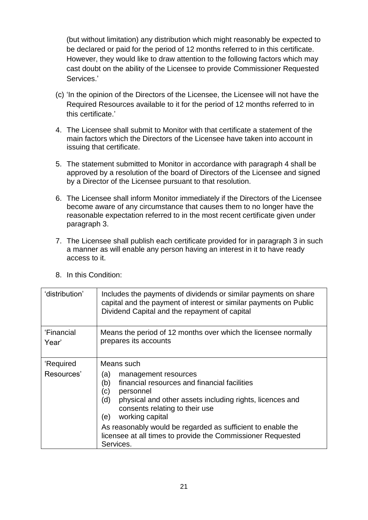(but without limitation) any distribution which might reasonably be expected to be declared or paid for the period of 12 months referred to in this certificate. However, they would like to draw attention to the following factors which may cast doubt on the ability of the Licensee to provide Commissioner Requested Services.'

- (c) 'In the opinion of the Directors of the Licensee, the Licensee will not have the Required Resources available to it for the period of 12 months referred to in this certificate.'
- 4. The Licensee shall submit to Monitor with that certificate a statement of the main factors which the Directors of the Licensee have taken into account in issuing that certificate.
- 5. The statement submitted to Monitor in accordance with paragraph 4 shall be approved by a resolution of the board of Directors of the Licensee and signed by a Director of the Licensee pursuant to that resolution.
- 6. The Licensee shall inform Monitor immediately if the Directors of the Licensee become aware of any circumstance that causes them to no longer have the reasonable expectation referred to in the most recent certificate given under paragraph 3.
- 7. The Licensee shall publish each certificate provided for in paragraph 3 in such a manner as will enable any person having an interest in it to have ready access to it.

| 'distribution'      | Includes the payments of dividends or similar payments on share<br>capital and the payment of interest or similar payments on Public<br>Dividend Capital and the repayment of capital                                                 |
|---------------------|---------------------------------------------------------------------------------------------------------------------------------------------------------------------------------------------------------------------------------------|
| 'Financial<br>Year' | Means the period of 12 months over which the licensee normally<br>prepares its accounts                                                                                                                                               |
| 'Required           | Means such                                                                                                                                                                                                                            |
| Resources'          | (a)<br>management resources<br>financial resources and financial facilities<br>(b)<br>(c)<br>personnel<br>(d)<br>physical and other assets including rights, licences and<br>consents relating to their use<br>working capital<br>(e) |
|                     | As reasonably would be regarded as sufficient to enable the<br>licensee at all times to provide the Commissioner Requested<br>Services.                                                                                               |

8. In this Condition: